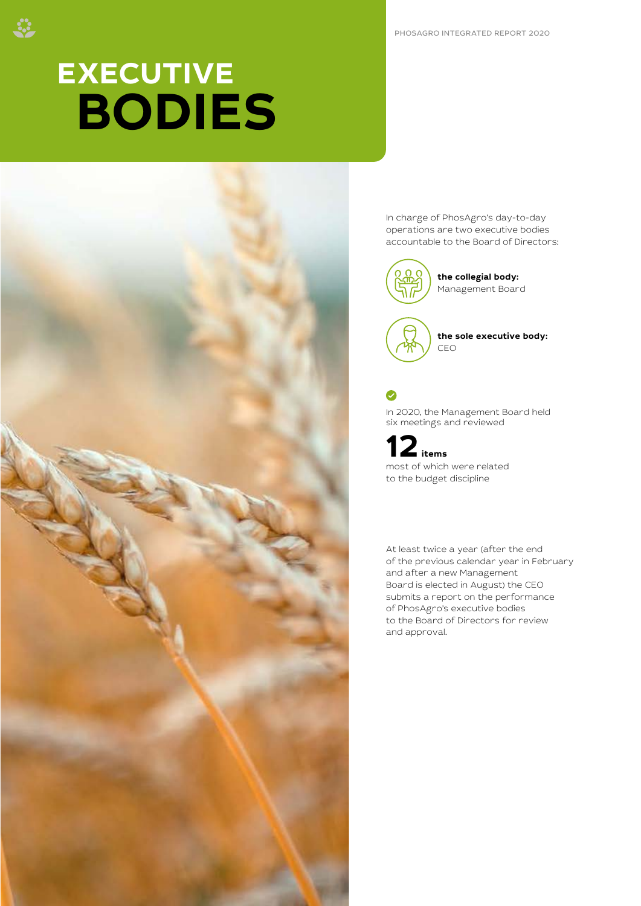# **EXECUTIVE BODIES**



In charge of PhosAgro's day-to-day operations are two executive bodies accountable to the Board of Directors:



**the collegial body:** Management Board

**the sole executive body:** CEO

In 2020, the Management Board held six meetings and reviewed

**12 items**  most of which were related to the budget discipline

At least twice a year (after the end of the previous calendar year in February and after a new Management Board is elected in August) the CEO submits a report on the performance of PhosAgro's executive bodies to the Board of Directors for review and approval.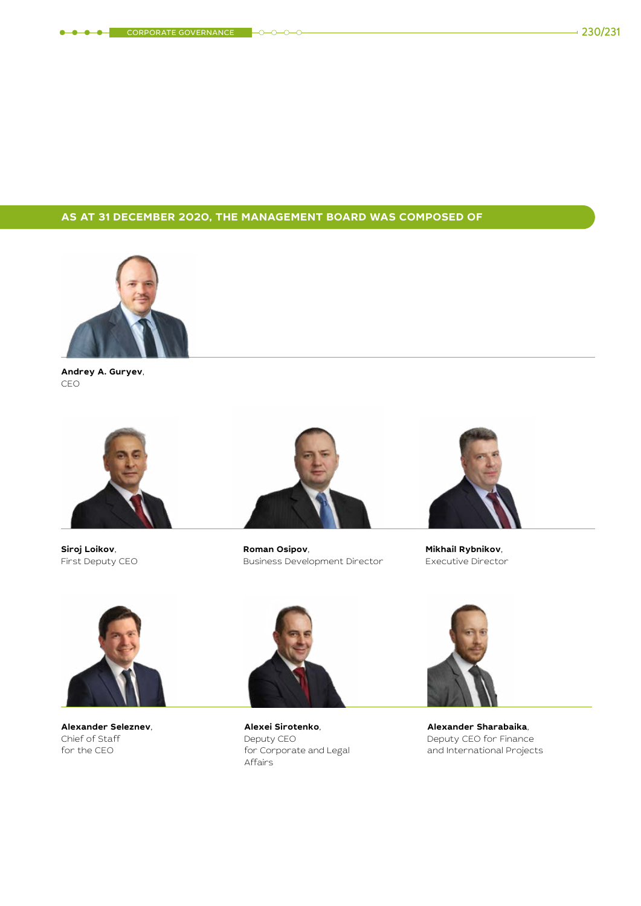# **AS AT 31 DECEMBER 2020, THE MANAGEMENT BOARD WAS COMPOSED OF**



**Andrey A. Guryev**, CEO



**Siroj Loikov**, First Deputy CEO



**Roman Osipov**, Business Development Director



**Mikhail Rybnikov**, Executive Director



**Alexander Seleznev**, Сhief of Staff for the CEO



**Alexei Sirotenko**, Deputy CEO for Corporate and Legal Affairs



**Alexander Sharabaika**, Deputy CEO for Finance and International Projects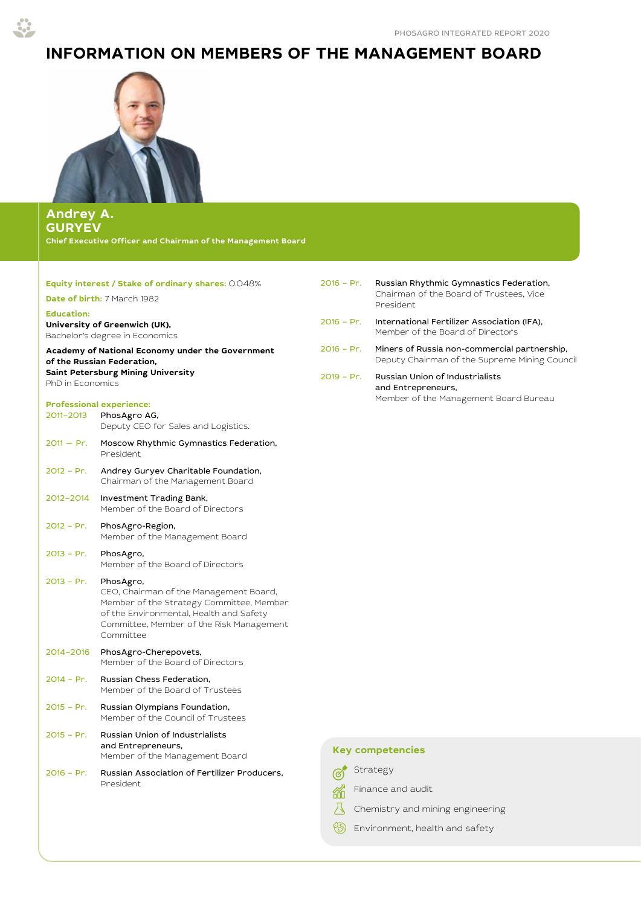# **INFORMATION ON MEMBERS OF THE MANAGEMENT BOARD**



53

**Andrey A. GURYEV Chief Executive Officer and Chairman of the Management Board** 

| Equity interest / Stake of ordinary shares: 0.048%                                                                                       |                                                                                                                                                                                                     |  |
|------------------------------------------------------------------------------------------------------------------------------------------|-----------------------------------------------------------------------------------------------------------------------------------------------------------------------------------------------------|--|
| Date of birth: 7 March 1982                                                                                                              |                                                                                                                                                                                                     |  |
| <b>Education:</b><br>University of Greenwich (UK),<br>Bachelor's degree in Economics                                                     |                                                                                                                                                                                                     |  |
| Academy of National Economy under the Government<br>of the Russian Federation.<br>Saint Petersburg Mining University<br>PhD in Economics |                                                                                                                                                                                                     |  |
| 2011-2013                                                                                                                                | <b>Professional experience:</b><br>PhosAgro AG,<br>Deputy CEO for Sales and Logistics.                                                                                                              |  |
| $2011 - Pr.$                                                                                                                             | Moscow Rhythmic Gymnastics Federation,<br>President                                                                                                                                                 |  |
| $2012 - Pr.$                                                                                                                             | Andrey Guryev Charitable Foundation,<br>Chairman of the Management Board                                                                                                                            |  |
| 2012-2014                                                                                                                                | Investment Trading Bank,<br>Member of the Board of Directors                                                                                                                                        |  |
| $2012 - Pr.$                                                                                                                             | PhosAgro-Region,<br>Member of the Management Board                                                                                                                                                  |  |
| $2013 - Pr.$                                                                                                                             | PhosAgro,<br>Member of the Board of Directors                                                                                                                                                       |  |
| $2013 - Pr.$                                                                                                                             | PhosAgro,<br>CEO, Chairman of the Management Board,<br>Member of the Strategy Committee, Member<br>of the Environmental, Health and Safety<br>Committee, Member of the Risk Management<br>Committee |  |
| 2014-2016                                                                                                                                | PhosAgro-Cherepovets,<br>Member of the Board of Directors                                                                                                                                           |  |
| $2014 - Pr.$                                                                                                                             | Russian Chess Federation,<br>Member of the Board of Trustees                                                                                                                                        |  |
| $2015 - Pr.$                                                                                                                             | Russian Olympians Foundation,<br>Member of the Council of Trustees                                                                                                                                  |  |
| $2015 - Pr.$                                                                                                                             | Russian Union of Industrialists<br>and Entrepreneurs,<br>Member of the Management Board                                                                                                             |  |
| $2016 - Pr.$                                                                                                                             | Russian Association of Fertilizer Producers,<br>President                                                                                                                                           |  |

| 2016 - Pr. | Russian Rhythmic Gymnastics Federation, |
|------------|-----------------------------------------|
|            | Chairman of the Board of Trustees. Vice |
|            | President                               |
|            |                                         |

- 2016 Pr. International Fertilizer Association (IFA), Member of the Board of Directors
- 2016 Pr. Miners of Russia non-commercial partnership, Deputy Chairman of the Supreme Mining Council
- 2019 Pr. Russian Union of Industrialists and Entrepreneurs, Member of the Management Board Bureau

## **Key competencies**



Finance and audit 籂

- 八 Chemistry and mining engineering
- $\circledS$  Environment, health and safety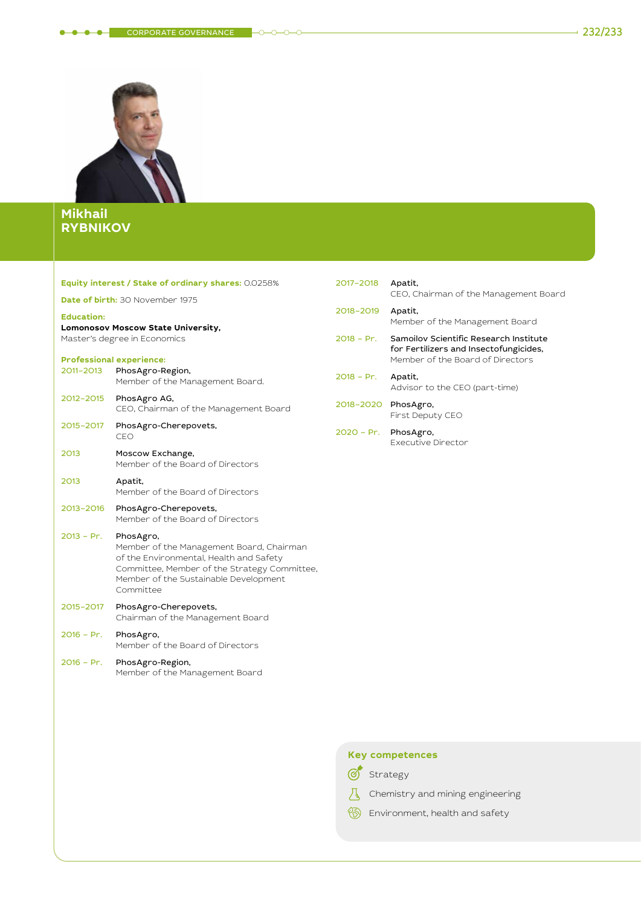

# **Mikhail RYBNIKOV**

| Equity interest / Stake of ordinary shares: 0.0258%<br>2017     |                                                                                                                                                                                                        |      |
|-----------------------------------------------------------------|--------------------------------------------------------------------------------------------------------------------------------------------------------------------------------------------------------|------|
| Date of birth: 30 November 1975                                 |                                                                                                                                                                                                        |      |
| 2018<br><b>Education:</b><br>Lomonosov Moscow State University, |                                                                                                                                                                                                        |      |
|                                                                 | Master's degree in Economics                                                                                                                                                                           | 2018 |
| 2011-2013                                                       | <b>Professional experience:</b><br>PhosAgro-Region,<br>Member of the Management Board.                                                                                                                 | 2018 |
| 2012-2015                                                       | PhosAgro AG,<br>CEO, Chairman of the Management Board                                                                                                                                                  | 2018 |
| 2015-2017                                                       | PhosAgro-Cherepovets,<br><b>CEO</b>                                                                                                                                                                    | 202  |
| 2013                                                            | Moscow Exchange,<br>Member of the Board of Directors                                                                                                                                                   |      |
| 2013                                                            | Apatit,<br>Member of the Board of Directors                                                                                                                                                            |      |
| 2013-2016                                                       | PhosAgro-Cherepovets,<br>Member of the Board of Directors                                                                                                                                              |      |
| 2013 - Pr.                                                      | PhosAgro,<br>Member of the Management Board, Chairman<br>of the Environmental, Health and Safety<br>Committee, Member of the Strategy Committee,<br>Member of the Sustainable Development<br>Committee |      |
| 2015-2017                                                       | PhosAgro-Cherepovets,<br>Chairman of the Management Board                                                                                                                                              |      |
| $2016 - Pr.$                                                    | PhosAgro,<br>Member of the Board of Directors                                                                                                                                                          |      |
| 2016 - Pr.                                                      | PhosAgro-Region,<br>Member of the Management Board                                                                                                                                                     |      |
|                                                                 |                                                                                                                                                                                                        |      |

| 2017-2018            | Apatit.<br>CEO, Chairman of the Management Board                                                                     |
|----------------------|----------------------------------------------------------------------------------------------------------------------|
| 2018-2019            | Apatit.<br>Member of the Management Board                                                                            |
| $2018 - Pr.$         | Samoilov Scientific Research Institute<br>for Fertilizers and Insectofungicides,<br>Member of the Board of Directors |
| 2018 – Pr.           | Apatit.<br>Advisor to the CEO (part-time)                                                                            |
| 2018-2020            | PhosAgro,<br>First Deputy CEO                                                                                        |
| 2020 - Pr. PhosAgro, | Executive Director                                                                                                   |

# **Key competences**

- **Strategy**
- $\sqrt{4}$  Chemistry and mining engineering
- **Environment**, health and safety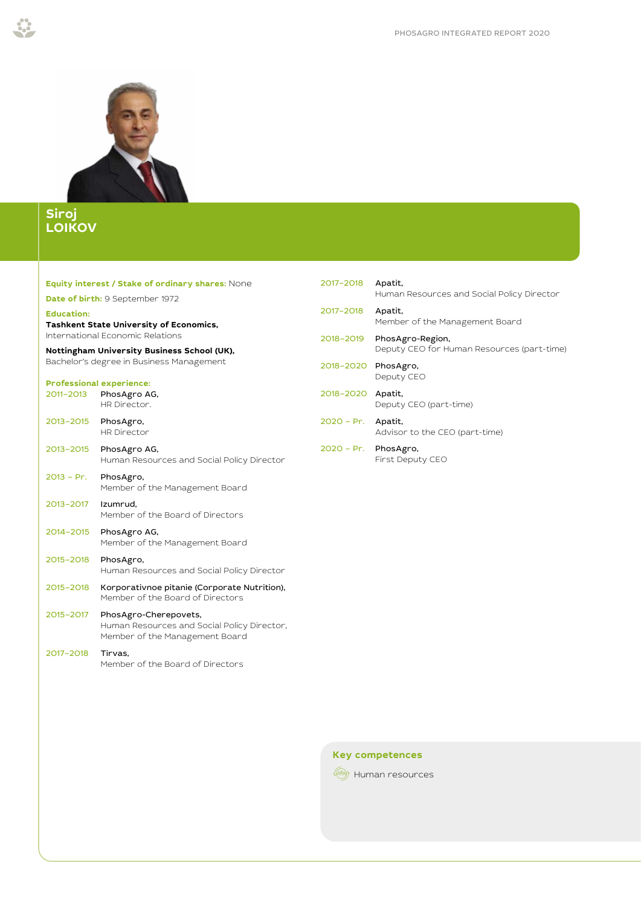

# **Siroj LOIKOV**

| Equity interest / Stake of ordinary shares: None |
|--------------------------------------------------|
|--------------------------------------------------|

**Date of birth:** 9 September 1972

**Education:** 

**Tashkent State University of Economics,** International Economic Relations

**Nottingham University Business School (UK),** Bachelor's degree in Business Management

| <b>Professional experience:</b> |              |
|---------------------------------|--------------|
| 2011-2013                       | PhosAgro AG, |

HR Director. 2013–2015 PhosAgro,

HR Director 2013–2015 PhosAgro AG, Human Resources and Social Policy Director

- 2013 Pr. PhosAgro, Member of the Management Board 2013–2017 Izumrud,
- Member of the Board of Directors
- 2014–2015 PhosAgro AG, Member of the Management Board
- 2015–2018 PhosAgro, Human Resources and Social Policy Director
- 2015–2018 Korporativnoe pitanie (Corporate Nutrition), Member of the Board of Directors
- 2015–2017 PhosAgro-Cherepovets, Human Resources and Social Policy Director, Member of the Management Board

## 2017–2018 Tirvas, Member of the Board of Directors

| 2017-2018            | Apatit,<br>Human Resources and Social Policy Director          |
|----------------------|----------------------------------------------------------------|
| 2017-2018            | Apatit,<br>Member of the Management Board                      |
| 2018-2019            | PhosAgro-Region,<br>Deputy CEO for Human Resources (part-time) |
| 2018-2020            | PhosAgro,<br>Deputy CEO                                        |
| 2018-2020 Apatit,    | Deputy CEO (part-time)                                         |
| $2020 - Pr.$         | Apatit,<br>Advisor to the CEO (part-time)                      |
| 2020 - Pr. PhosAgro, | First Deputy CEO                                               |
|                      |                                                                |

#### **Key competences**

**Solution** Human resources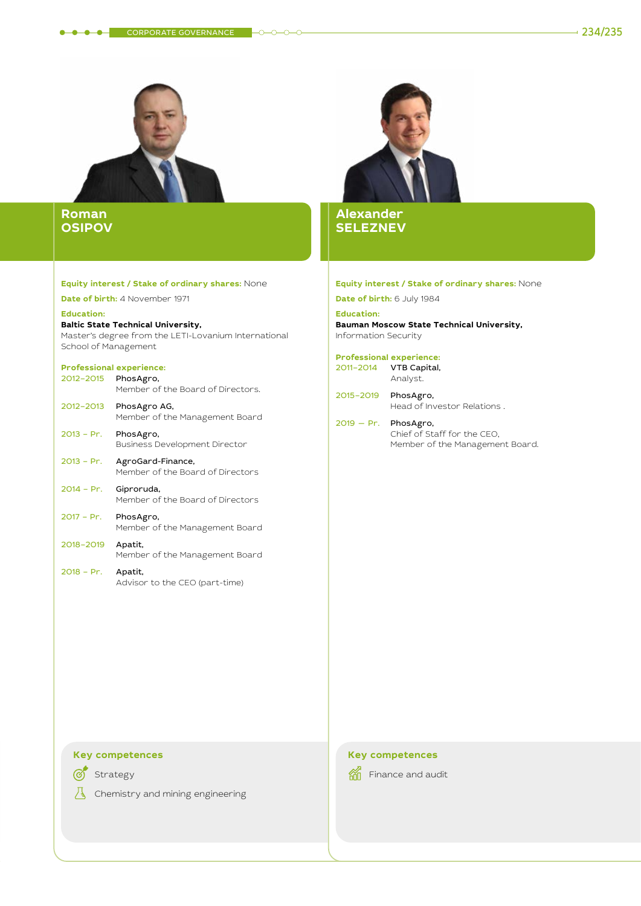#### $\bullet\bullet\bullet$  corporate governance  $\qquad$   $\circ$   $\circ$   $\circ$   $\qquad$   $\qquad$   $\qquad$   $\qquad$   $\qquad$   $\qquad$   $\qquad$   $\qquad$   $\qquad$   $\qquad$   $\qquad$   $\qquad$   $\qquad$   $\qquad$   $\qquad$   $\qquad$   $\qquad$   $\qquad$   $\qquad$   $\qquad$   $\qquad$   $\qquad$   $\qquad$   $\qquad$   $\qquad$   $\qquad$   $\qquad$   $\qquad$   $\$



## **Roman OSIPOV**

#### **Equity interest / Stake of ordinary shares:** None

**Date of birth:** 4 November 1971

#### **Education: Baltic State Technical University,** Master's degree from the LETI-Lovanium International School of Management

## **Professional experience:**

2012–2015 PhosAgro, Member of the Board of Directors.

| 2012-2013 | PhosAgro AG,                   |
|-----------|--------------------------------|
|           | Member of the Management Board |

- 2013 Pr. PhosAgro, Business Development Director
- 2013 Pr. AgroGard-Finance, Member of the Board of Directors
- 2014 Pr. Giproruda, Member of the Board of Directors
- 2017 Pr. PhosAgro, Member of the Management Board
- 2018–2019 Apatit, Member of the Management Board
- 2018 Pr. Apatit, Advisor to the CEO (part-time)



**Alexander SELEZNEV**

#### **Equity interest / Stake of ordinary shares:** None

**Date of birth:** 6 July 1984

#### **Education:**

**Bauman Moscow State Technical University,** Information Security

#### **Professional experience:**

2011–2014 VTB Capital, Analyst.

- 2015–2019 PhosAgro, Head of Investor Relations .
- 2019 Pr. PhosAgro, Chief of Staff for the CEO, Member of the Management Board.

## **Key competences**

 $\circledcirc$ Strategy

Д Chemistry and mining engineering

## **Key competences**

**M** Finance and audit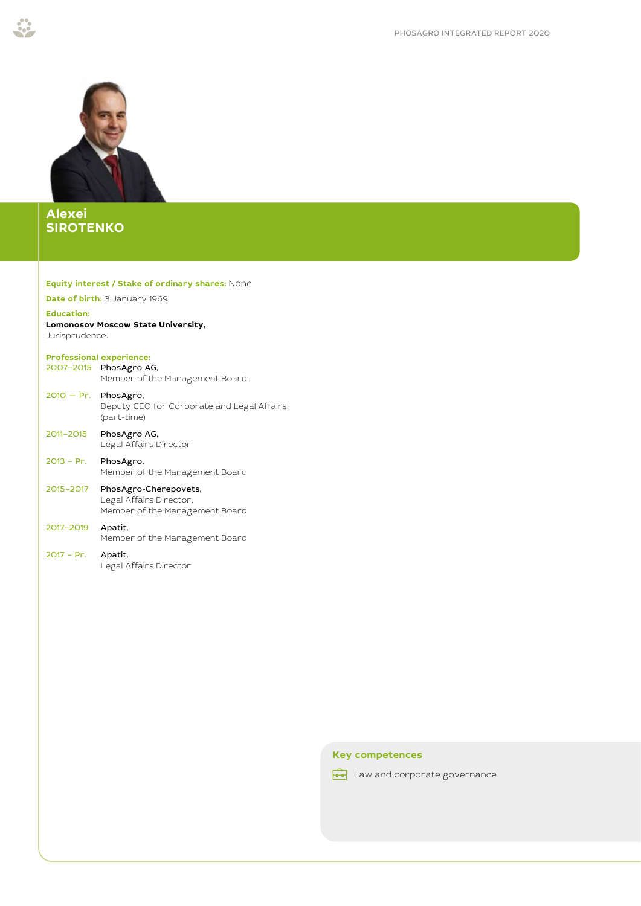

# **Alexei SIROTENKO**

#### **Equity interest / Stake of ordinary shares:** None

**Date of birth:** 3 January 1969

#### **Education:**

#### **Lomonosov Moscow State University,** Jurisprudence.

## **Professional experience:**

2007–2015 PhosAgro AG, Member of the Management Board.

| $2010 - Pr.$ PhosAgro, | Deputy CEO for Corporate and Legal Affairs<br>(part-time) |
|------------------------|-----------------------------------------------------------|
| 2011-2015              | PhosAgro AG,                                              |

Legal Affairs Director

2013 – Pr. PhosAgro, Member of the Management Board

## 2015–2017 PhosAgro-Cherepovets, Legal Affairs Director, Member of the Management Board

# 2017–2019 Apatit, Member of the Management Board

2017 – Pr. Apatit, Legal Affairs Director

## **Key competences**

**Law and corporate governance**